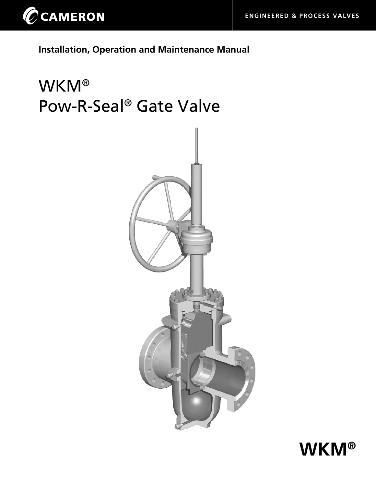

**Installation, Operation and Maintenance Manual**

# WKM® Pow-R-Seal® Gate Valve



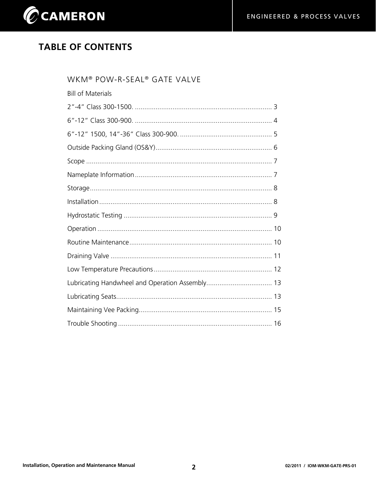

# **TABLE OF CONTENTS**

#### WKM® POW-R-SEAL® GATE VALVE

| <b>Bill of Materials</b> |
|--------------------------|
|                          |
|                          |
|                          |
|                          |
|                          |
|                          |
|                          |
|                          |
|                          |
|                          |
|                          |
|                          |
|                          |
|                          |
|                          |
|                          |
|                          |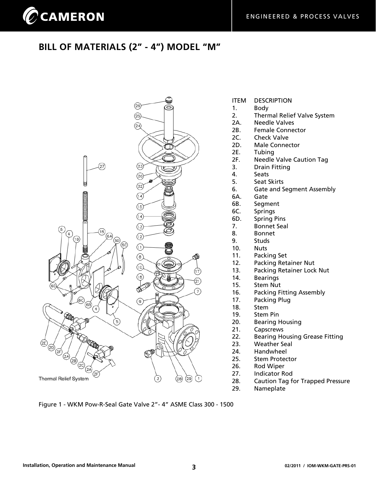### **BILL OF MATERIALS (2" - 4") MODEL "M"**

 $\mathscr O$ CAMERON



ITEM DESCRIPTION

- 1. Body
- 2. Thermal Relief Valve System
- 2A. Needle Valves
- 2B. Female Connector
- 2C. Check Valve
- 2D. Male Connector
- 2E. Tubing
- 2F. Needle Valve Caution Tag
- 3. Drain Fitting
- 4. Seats
- 5. Seat Skirts
- 6. Gate and Segment Assembly
- 6A. Gate
- 6B. Segment
- 6C. Springs
- 6D. Spring Pins
- 7. Bonnet Seal
- 8. Bonnet
- 9. Studs
- 10. Nuts
- 11. Packing Set
- 12. Packing Retainer Nut<br>13. Packing Retainer Lock
- Packing Retainer Lock Nut
- 14. Bearings
- 15. Stem Nut
- 16. Packing Fitting Assembly
- 17. Packing Plug
- 18. Stem
- 19. Stem Pin
- 20. Bearing Housing
- 21. Capscrews
- 22. Bearing Housing Grease Fitting
- 23. Weather Seal
- 24. Handwheel
- 25. Stem Protector
- 26. Rod Wiper
- 27. Indicator Rod
- 28. Caution Tag for Trapped Pressure
- 29. Nameplate

Figure 1 - WKM Pow-R-Seal Gate Valve 2"- 4" ASME Class 300 - 1500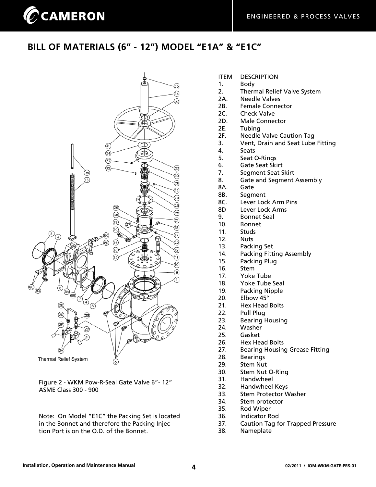# **BILL OF MATERIALS (6" - 12") MODEL "E1A" & "E1C"**



 $\mathscr O$ CAMERON

Figure 2 - WKM Pow-R-Seal Gate Valve 6"- 12" ASME Class 300 - 900

Note: On Model "E1C" the Packing Set is located in the Bonnet and therefore the Packing Injection Port is on the O.D. of the Bonnet.

#### ITEM DESCRIPTION

- 1. Body
- 2. Thermal Relief Valve System
- 2A. Needle Valves
	- 2B. Female Connector
	- 2C. Check Valve
	- 2D. Male Connector
- 2E. Tubing
- 2F. Needle Valve Caution Tag
- 3. Vent, Drain and Seat Lube Fitting
- 4. Seats
- 5. Seat O-Rings
- 6. Gate Seat Skirt
- 7. Segment Seat Skirt
- 8. Gate and Segment Assembly
- 8A. Gate
- 8B. Segment
- 8C. Lever Lock Arm Pins
- 8D Lever Lock Arms
- 9. Bonnet Seal
- 10. Bonnet
- 11. Studs
- 12. Nuts
- 13. Packing Set
- 14. Packing Fitting Assembly
- 15. Packing Plug
- 16. Stem
- 17. Yoke Tube
- 18. Yoke Tube Seal
- 19. Packing Nipple
- 20. Elbow 45°
- 21. Hex Head Bolts
- 22. Pull Plug
- 23. Bearing Housing
- 24. Washer
- 25. Gasket
- 26. Hex Head Bolts
- 27. Bearing Housing Grease Fitting
- 28. Bearings
- 29. Stem Nut
- 30. Stem Nut O-Ring
- 31. Handwheel
- 32. Handwheel Keys
- 33. Stem Protector Washer
- 34. Stem protector
- 35. Rod Wiper
- 36. Indicator Rod
- 37. Caution Tag for Trapped Pressure
- 38. Nameplate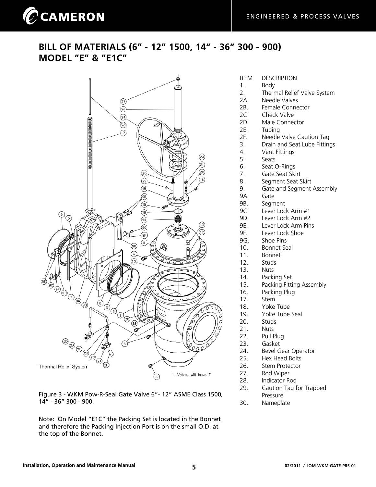

### **BILL OF MATERIALS (6" - 12" 1500, 14" - 36" 300 - 900) MODEL "E" & "E1C"**



Figure 3 - WKM Pow-R-Seal Gate Valve 6"- 12" ASME Class 1500, 14" - 36" 300 - 900.

Note: On Model "E1C" the Packing Set is located in the Bonnet and therefore the Packing Injection Port is on the small O.D. at the top of the Bonnet.

- ITEM DESCRIPTION
- 1. Body
- 2. Thermal Relief Valve System
- 2A. Needle Valves
- 2B. Female Connector
- 2C. Check Valve
- 2D. Male Connector
- 2E. Tubing
- 2F. Needle Valve Caution Tag
- 3. Drain and Seat Lube Fittings
- 4. Vent Fittings
- 5. Seats
- 6. Seat O-Rings
- 7. Gate Seat Skirt
- 8. Segment Seat Skirt
- 9. Gate and Segment Assembly
- 9A. Gate
- 9B. Segment
- 9C. Lever Lock Arm #1
- 9D. Lever Lock Arm #2
- 9E. Lever Lock Arm Pins
- 9F. Lever Lock Shoe
- 9G. Shoe Pins
- 10. Bonnet Seal
- 11. Bonnet
- 12. Studs 13. Nuts
- 
- 14. Packing Set
- 15. Packing Fitting Assembly
- 16. Packing Plug
- 17. Stem
- 18. Yoke Tube
- 19. Yoke Tube Seal
- 20. Studs 21. Nuts
- 
- 22. Pull Plug
- 23. Gasket
- 24. Bevel Gear Operator
- 25. Hex Head Bolts
- 26. Stem Protector
- 27. Rod Wiper
- 28. Indicator Rod
- 29. Caution Tag for Trapped
- Pressure
- 30. Nameplate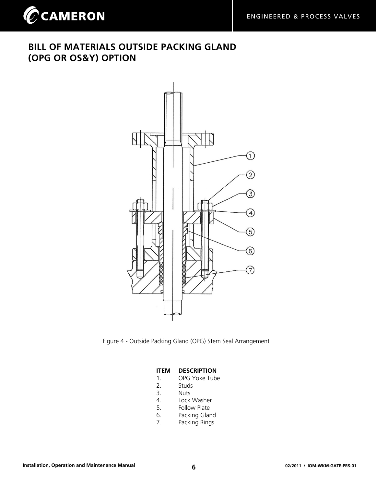

# **BILL OF MATERIALS OUTSIDE PACKING GLAND (OPG OR OS&Y) OPTION**



Figure 4 - Outside Packing Gland (OPG) Stem Seal Arrangement

| <b>ITEM</b> | <b>DESCRIPTION</b> |  |
|-------------|--------------------|--|
|             |                    |  |

- 1. OPG Yoke Tube
- 2. Studs
- 3. Nuts
- 4. Lock Washer
- 5. Follow Plate
- 6. Packing Gland
- 7. Packing Rings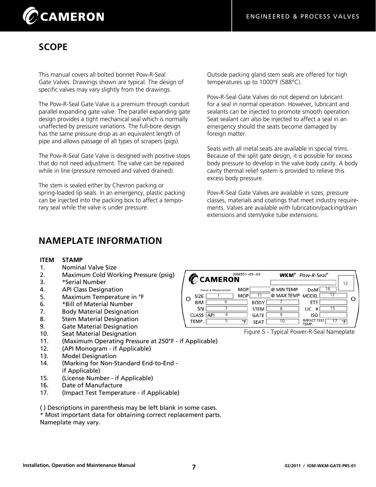

# **SCOPE**

This manual covers all bolted bonnet Pow-R-Seal Gate Valves. Drawings shown are typical. The design of specific valves may vary slightly from the drawings.

The Pow-R-Seal Gate Valve is a premium through conduit parallel expanding gate valve. The parallel expanding gate design provides a tight mechanical seal which is normally unaffected by pressure variations. The full-bore design has the same pressure drop as an equivalent length of pipe and allows passage of all types of scrapers (pigs).

The Pow-R-Seal Gate Valve is designed with positive stops that do not need adjustment. The valve can be repaired while in line (pressure removed and valved drained).

The stem is sealed either by Chevron packing or spring-loaded lip seals. In an emergency, plastic packing can be injected into the packing box to affect a temporary seal while the valve is under pressure.

Outside packing gland stem seals are offered for high temperatures up to 1000°F (588°C).

Pow-R-Seal Gate Valves do not depend on lubricant for a seal in normal operation. However, lubricant and sealants can be injected to promote smooth operation. Seat sealant can also be injected to affect a seal in an emergency should the seats become damaged by foreign matter.

Seats with all metal seats are available in special trims. Because of the split gate design, it is possible for excess body pressure to develop in the valve body cavity. A body cavity thermal relief system is provided to relieve this excess body pressure.

Pow-R-Seal Gate Valves are available in sizes, pressure classes, materials and coatings that meet industry requirements. Valves are available with lubrication/packing/drain extensions and stem/yoke tube extensions.

#### **NAMEPLATE INFORMATION**

#### **ITEM STAMP**

- 1. Nominal Valve Size
- 2. Maximum Cold Working Pressure (psig)
- 3. \*Serial Number
- 4. API Class Designation
- 5. Maximum Temperature in °F
- 6. \*Bill of Material Number
- 7. Body Material Designation
- 8. Stem Material Designation
- 9. Gate Material Designation
- 10. Seat Material Designation
- 11. (Maximum Operating Pressure at 250°F if Applicable)
- 12. (API Monogram if Applicable)
- 13. Model Designation
- 14. (Marking for Non-Standard End-to-End if Applicable)
- 15. (License Number if Applicable)
- 16. Date of Manufacture
- 17. (Impact Test Temperature if Applicable)

( ) Descriptions in parenthesis may be left blank in some cases.

 \* Most important data for obtaining correct replacement parts. Nameplate may vary.

|                  | CCAMERON             | 2086951-05-XX                  |             |                                | <b>WKM</b> <sup>®</sup> Pow-R-Seal <sup>®</sup> |    |  |
|------------------|----------------------|--------------------------------|-------------|--------------------------------|-------------------------------------------------|----|--|
| SIZE             | Valves & Measurement | MOP <sup>1</sup><br><b>MOP</b> | 11          | @ MIN TEMP<br>@ MAX TEMP MODEL | 16<br>DoM<br>13                                 | 12 |  |
| B/M              | 6                    |                                | <b>BODY</b> |                                | ETE                                             |    |  |
| SN               |                      |                                | STEM        | 8                              | $LIC.$ #<br>15                                  |    |  |
| <b>CLASS API</b> |                      |                                | GATE        | q                              | ISO                                             |    |  |
| TEMP.            |                      | ۰F                             | <b>SEAT</b> | 10                             | <b>IMPACT TEST</b><br>TEMP.                     | ᅂ  |  |

Figure 5 - Typical Power-R-Seal Nameplate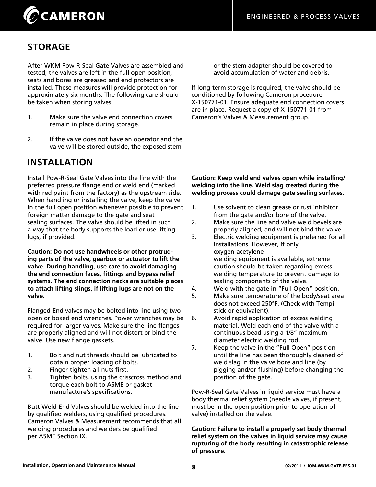

# **STORAGE**

After WKM Pow-R-Seal Gate Valves are assembled and tested, the valves are left in the full open position, seats and bores are greased and end protectors are installed. These measures will provide protection for approximately six months. The following care should be taken when storing valves:

- 1. Make sure the valve end connection covers remain in place during storage.
- 2. If the valve does not have an operator and the valve will be stored outside, the exposed stem

### **INSTALLATION**

Install Pow-R-Seal Gate Valves into the line with the preferred pressure flange end or weld end (marked with red paint from the factory) as the upstream side. When handling or installing the valve, keep the valve in the full open position whenever possible to prevent foreign matter damage to the gate and seat sealing surfaces. The valve should be lifted in such a way that the body supports the load or use lifting lugs, if provided.

**Caution: Do not use handwheels or other protruding parts of the valve, gearbox or actuator to lift the valve. During handling, use care to avoid damaging the end connection faces, fittings and bypass relief systems. The end connection necks are suitable places to attach lifting slings, if lifting lugs are not on the valve.**

Flanged-End valves may be bolted into line using two open or boxed end wrenches. Power wrenches may be required for larger valves. Make sure the line flanges are properly aligned and will not distort or bind the valve. Use new flange gaskets.

- 1. Bolt and nut threads should be lubricated to obtain proper loading of bolts.
- 2. Finger-tighten all nuts first.
- 3. Tighten bolts, using the crisscross method and torque each bolt to ASME or gasket manufacture's specifications.

Butt Weld-End Valves should be welded into the line by qualified welders, using qualified procedures. Cameron Valves & Measurement recommends that all welding procedures and welders be qualified per ASME Section IX.

 or the stem adapter should be covered to avoid accumulation of water and debris.

If long-term storage is required, the valve should be conditioned by following Cameron procedure X-150771-01. Ensure adequate end connection covers are in place. Request a copy of X-150771-01 from Cameron's Valves & Measurement group.

**Caution: Keep weld end valves open while installing/ welding into the line. Weld slag created during the welding process could damage gate sealing surfaces.**

- 1. Use solvent to clean grease or rust inhibitor from the gate and/or bore of the valve.
- 2. Make sure the line and valve weld bevels are properly aligned, and will not bind the valve.<br>3. Electric welding equipment is preferred for al
- Electric welding equipment is preferred for all installations. However, if only oxygen-acetylene welding equipment is available, extreme caution should be taken regarding excess welding temperature to prevent damage to sealing components of the valve.
- 4. Weld with the gate in "Full Open" position.
- 5. Make sure temperature of the body/seat area does not exceed 250°F. (Check with Tempil stick or equivalent).
- 6. Avoid rapid application of excess welding material. Weld each end of the valve with a continuous bead using a 1/8" maximum diameter electric welding rod.
- 7. Keep the valve in the "Full Open" position until the line has been thoroughly cleaned of weld slag in the valve bore and line (by pigging and/or flushing) before changing the position of the gate.

Pow-R-Seal Gate Valves in liquid service must have a body thermal relief system (needle valves, if present, must be in the open position prior to operation of valve) installed on the valve.

**Caution: Failure to install a properly set body thermal relief system on the valves in liquid service may cause rupturing of the body resulting in catastrophic release of pressure.**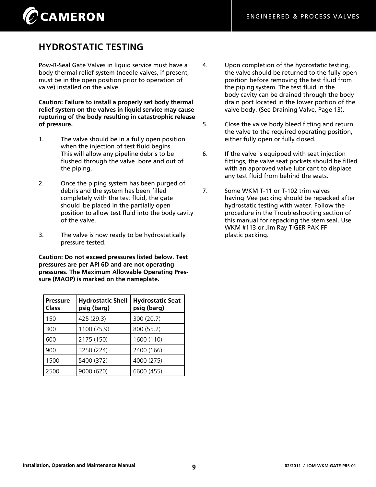

# **HYDROSTATIC TESTING**

Pow-R-Seal Gate Valves in liquid service must have a body thermal relief system (needle valves, if present, must be in the open position prior to operation of valve) installed on the valve.

**Caution: Failure to install a properly set body thermal relief system on the valves in liquid service may cause rupturing of the body resulting in catastrophic release of pressure.**

- 1. The valve should be in a fully open position when the injection of test fluid begins. This will allow any pipeline debris to be flushed through the valve bore and out of the piping.
- 2. Once the piping system has been purged of debris and the system has been filled completely with the test fluid, the gate should be placed in the partially open position to allow test fluid into the body cavity of the valve.
- 3. The valve is now ready to be hydrostatically pressure tested.

**Caution: Do not exceed pressures listed below. Test pressures are per API 6D and are not operating pressures. The Maximum Allowable Operating Pressure (MAOP) is marked on the nameplate.**

| <b>Pressure</b><br><b>Class</b> | <b>Hydrostatic Shell</b><br>psig (barg) | <b>Hydrostatic Seat</b><br>psig (barg) |
|---------------------------------|-----------------------------------------|----------------------------------------|
| 150                             | 425 (29.3)                              | 300 (20.7)                             |
| 300                             | 1100 (75.9)                             | 800 (55.2)                             |
| 600                             | 2175 (150)                              | 1600 (110)                             |
| 900                             | 3250 (224)                              | 2400 (166)                             |
| 1500                            | 5400 (372)                              | 4000 (275)                             |
| 2500                            | 9000 (620)                              | 6600 (455)                             |

- 4. Upon completion of the hydrostatic testing, the valve should be returned to the fully open position before removing the test fluid from the piping system. The test fluid in the body cavity can be drained through the body drain port located in the lower portion of the valve body. (See Draining Valve, Page 13).
- 5. Close the valve body bleed fitting and return the valve to the required operating position, either fully open or fully closed.
- 6. If the valve is equipped with seat injection fittings, the valve seat pockets should be filled with an approved valve lubricant to displace any test fluid from behind the seats.
- 7. Some WKM T-11 or T-102 trim valves having Vee packing should be repacked after hydrostatic testing with water. Follow the procedure in the Troubleshooting section of this manual for repacking the stem seal. Use WKM #113 or Jim Ray TIGER PAK FF plastic packing.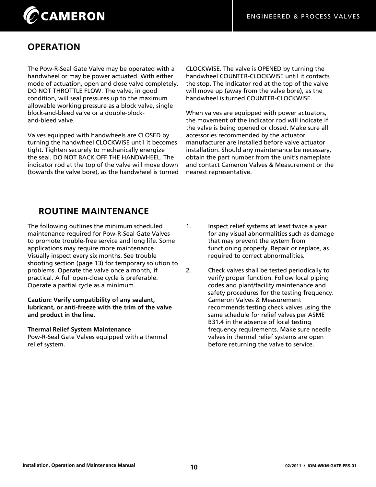

### **OPERATION**

The Pow-R-Seal Gate Valve may be operated with a handwheel or may be power actuated. With either mode of actuation, open and close valve completely. DO NOT THROTTLE FLOW. The valve, in good condition, will seal pressures up to the maximum allowable working pressure as a block valve, single block-and-bleed valve or a double-blockand-bleed valve.

Valves equipped with handwheels are CLOSED by turning the handwheel CLOCKWISE until it becomes tight. Tighten securely to mechanically energize the seal. DO NOT BACK OFF THE HANDWHEEL. The indicator rod at the top of the valve will move down (towards the valve bore), as the handwheel is turned

CLOCKWISE. The valve is OPENED by turning the handwheel COUNTER-CLOCKWISE until it contacts the stop. The indicator rod at the top of the valve will move up (away from the valve bore), as the handwheel is turned COUNTER-CLOCKWISE.

When valves are equipped with power actuators, the movement of the indicator rod will indicate if the valve is being opened or closed. Make sure all accessories recommended by the actuator manufacturer are installed before valve actuator installation. Should any maintenance be necessary, obtain the part number from the unit's nameplate and contact Cameron Valves & Measurement or the nearest representative.

#### **ROUTINE MAINTENANCE**

The following outlines the minimum scheduled maintenance required for Pow-R-Seal Gate Valves to promote trouble-free service and long life. Some applications may require more maintenance. Visually inspect every six months. See trouble shooting section (page 13) for temporary solution to problems. Operate the valve once a month, if practical. A full open-close cycle is preferable. Operate a partial cycle as a minimum.

#### **Caution: Verify compatibility of any sealant, lubricant, or anti-freeze with the trim of the valve and product in the line.**

#### **Thermal Relief System Maintenance**

Pow-R-Seal Gate Valves equipped with a thermal relief system.

- 1. Inspect relief systems at least twice a year for any visual abnormalities such as damage that may prevent the system from functioning properly. Repair or replace, as required to correct abnormalities.
- 2. Check valves shall be tested periodically to verify proper function. Follow local piping codes and plant/facility maintenance and safety procedures for the testing frequency. Cameron Valves & Measurement recommends testing check valves using the same schedule for relief valves per ASME B31.4 in the absence of local testing frequency requirements. Make sure needle valves in thermal relief systems are open before returning the valve to service.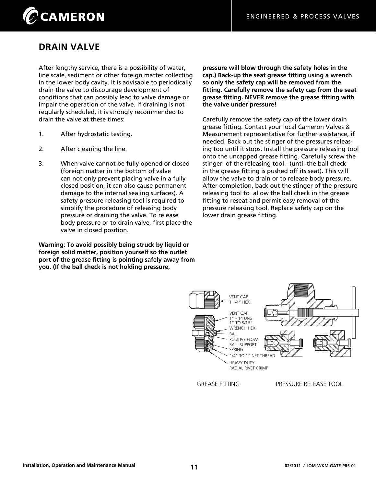

### **DRAIN VALVE**

After lengthy service, there is a possibility of water, line scale, sediment or other foreign matter collecting in the lower body cavity. It is advisable to periodically drain the valve to discourage development of conditions that can possibly lead to valve damage or impair the operation of the valve. If draining is not regularly scheduled, it is strongly recommended to drain the valve at these times:

- 1. After hydrostatic testing.
- 2. After cleaning the line.
- 3. When valve cannot be fully opened or closed (foreign matter in the bottom of valve can not only prevent placing valve in a fully closed position, it can also cause permanent damage to the internal sealing surfaces). A safety pressure releasing tool is required to simplify the procedure of releasing body pressure or draining the valve. To release body pressure or to drain valve, first place the valve in closed position.

**Warning**: **To avoid possibly being struck by liquid or foreign solid matter, position yourself so the outlet port of the grease fitting is pointing safely away from you. (If the ball check is not holding pressure,** 

**pressure will blow through the safety holes in the cap.) Back-up the seat grease fitting using a wrench so only the safety cap will be removed from the fitting. Carefully remove the safety cap from the seat grease fitting. NEVER remove the grease fitting with the valve under pressure!**

Carefully remove the safety cap of the lower drain grease fitting. Contact your local Cameron Valves & Measurement representative for further assistance, if needed. Back out the stinger of the pressures releasing too until it stops. Install the pressure releasing tool onto the uncapped grease fitting. Carefully screw the stinger of the releasing tool - (until the ball check in the grease fitting is pushed off its seat). This will allow the valve to drain or to release body pressure. After completion, back out the stinger of the pressure releasing tool to allow the ball check in the grease fitting to reseat and permit easy removal of the pressure releasing tool. Replace safety cap on the lower drain grease fitting.

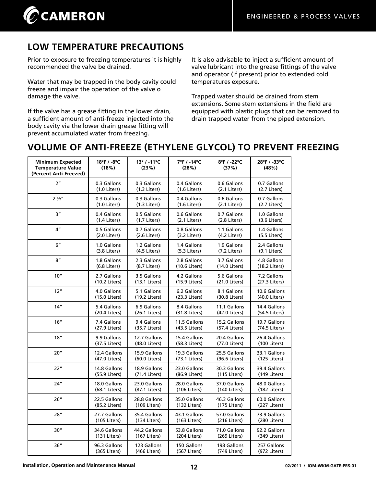

# **LOW TEMPERATURE PRECAUTIONS**

Prior to exposure to freezing temperatures it is highly recommended the valve be drained.

Water that may be trapped in the body cavity could freeze and impair the operation of the valve o damage the valve.

If the valve has a grease fitting in the lower drain, a sufficient amount of anti-freeze injected into the body cavity via the lower drain grease fitting will prevent accumulated water from freezing.

It is also advisable to inject a sufficient amount of valve lubricant into the grease fittings of the valve and operator (if present) prior to extended cold temperatures exposure.

Trapped water should be drained from stem extensions. Some stem extensions in the field are equipped with plastic plugs that can be removed to drain trapped water from the piped extension.

# **VOLUME OF ANTI-FREEZE (ETHYLENE GLYCOL) TO PREVENT FREEZING**

| <b>Minimum Expected</b><br><b>Temperature Value</b><br>(Percent Anti-Freezed) | 18°F / -8°C<br>(18%) | 13° / -11°C<br>(23%) | 7°F / -14°C<br>(28%) | 8°F / -22°C<br>(37%) | 28°F / -33°C<br>(48%) |
|-------------------------------------------------------------------------------|----------------------|----------------------|----------------------|----------------------|-----------------------|
| 2 <sup>n</sup>                                                                | 0.3 Gallons          | 0.3 Gallons          | 0.4 Gallons          | 0.6 Gallons          | 0.7 Gallons           |
|                                                                               | $(1.0$ Liters)       | (1.3 Liters)         | $(1.6$ Liters)       | $(2.1$ Liters)       | (2.7 Liters)          |
| 2 <i>1</i> / 2''                                                              | 0.3 Gallons          | 0.3 Gallons          | 0.4 Gallons          | 0.6 Gallons          | 0.7 Gallons           |
|                                                                               | $(1.0$ Liters)       | $(1.3$ Liters)       | $(1.6$ Liters)       | (2.1 Liters)         | $(2.7$ Liters)        |
| 3''                                                                           | 0.4 Gallons          | 0.5 Gallons          | 0.6 Gallons          | 0.7 Gallons          | 1.0 Gallons           |
|                                                                               | $(1.4$ Liters)       | $(1.7$ Liters)       | $(2.1$ Liters)       | (2.8 Liters)         | $(3.6$ Liters)        |
| 4 <sup>n</sup>                                                                | 0.5 Gallons          | 0.7 Gallons          | 0.8 Gallons          | 1.1 Gallons          | 1.4 Gallons           |
|                                                                               | (2.0 Liters)         | (2.6 Liters)         | (3.2 Liters)         | (4.2 Liters)         | (5.5 Liters)          |
| 6"                                                                            | 1.0 Gallons          | 1.2 Gallons          | 1.4 Gallons          | 1.9 Gallons          | 2.4 Gallons           |
|                                                                               | (3.8 Liters)         | (4.5 Liters)         | (5.3 Liters)         | (7.2 Liters)         | $(9.1$ Liters)        |
| 8"                                                                            | 1.8 Gallons          | 2.3 Gallons          | 2.8 Gallons          | 3.7 Gallons          | 4.8 Gallons           |
|                                                                               | $(6.8$ Liters)       | (8.7 Liters)         | (10.6 Liters)        | (14.0 Liters)        | (18.2 Liters)         |
| 10''                                                                          | 2.7 Gallons          | 3.5 Gallons          | 4.2 Gallons          | 5.6 Gallons          | 7.2 Gallons           |
|                                                                               | (10.2 Liters)        | (13.1 Liters)        | (15.9 Liters)        | (21.0 Liters)        | (27.3 Liters)         |
| 12"                                                                           | 4.0 Gallons          | 5.1 Gallons          | 6.2 Gallons          | 8.1 Gallons          | 10.6 Gallons          |
|                                                                               | (15.0 Liters)        | (19.2 Liters)        | (23.3 Liters)        | (30.8 Liters)        | (40.0 Liters)         |
| 14"                                                                           | 5.4 Gallons          | 6.9 Gallons          | 8.4 Gallons          | 11.1 Gallons         | 14.4 Gallons          |
|                                                                               | (20.4 Liters)        | (26.1 Liters)        | (31.8 Liters)        | (42.0 Liters)        | (54.5 Liters)         |
| 16"                                                                           | 7.4 Gallons          | 9.4 Gallons          | 11.5 Gallons         | 15.2 Gallons         | 19.7 Gallons          |
|                                                                               | (27.9 Liters)        | (35.7 Liters)        | (43.5 Liters)        | (57.4 Liters)        | (74.5 Liters)         |
| 18"                                                                           | 9.9 Gallons          | 12.7 Gallons         | 15.4 Gallons         | 20.4 Gallons         | 26.4 Gallons          |
|                                                                               | (37.5 Liters)        | (48.0 Liters)        | (58.3 Liters)        | (77.0 Liters)        | (100 Liters)          |
| 20"                                                                           | 12.4 Gallons         | 15.9 Gallons         | 19.3 Gallons         | 25.5 Gallons         | 33.1 Gallons          |
|                                                                               | (47.0 Liters)        | (60.0 Liters)        | (73.1 Liters)        | (96.6 Liters)        | (125 Liters)          |
| 22"                                                                           | 14.8 Gallons         | 18.9 Gallons         | 23.0 Gallons         | 30.3 Gallons         | 39.4 Gallons          |
|                                                                               | (55.9 Liters)        | (71.4 Liters)        | (86.9 Liters)        | (115 Liters)         | (149 Liters)          |
| 24"                                                                           | 18.0 Gallons         | 23.0 Gallons         | 28.0 Gallons         | 37.0 Gallons         | 48.0 Gallons          |
|                                                                               | (68.1 Liters)        | (87.1 Liters)        | (106 Liters)         | (140 Liters)         | (182 Liters)          |
| 26"                                                                           | 22.5 Gallons         | 28.8 Gallons         | 35.0 Gallons         | 46.3 Gallons         | 60.0 Gallons          |
|                                                                               | (85.2 Liters)        | (109 Liters)         | (132 Liters)         | (175 Liters)         | (227 Liters)          |
| 28"                                                                           | 27.7 Gallons         | 35.4 Gallons         | 43.1 Gallons         | 57.0 Gallons         | 73.9 Gallons          |
|                                                                               | (105 Liters)         | (134 Liters)         | (163 Liters)         | (216 Liters)         | (280 Liters)          |
| 30"                                                                           | 34.6 Gallons         | 44.2 Gallons         | 53.8 Gallons         | 71.0 Gallons         | 92.2 Gallons          |
|                                                                               | (131 Liters)         | (167 Liters)         | (204 Liters)         | (269 Liters)         | (349 Liters)          |
| 36"                                                                           | 96.3 Gallons         | 123 Gallons          | 150 Gallons          | 198 Gallons          | 257 Gallons           |
|                                                                               | (365 Liters)         | (466 Liters)         | (567 Liters)         | (749 Liters)         | (972 Liters)          |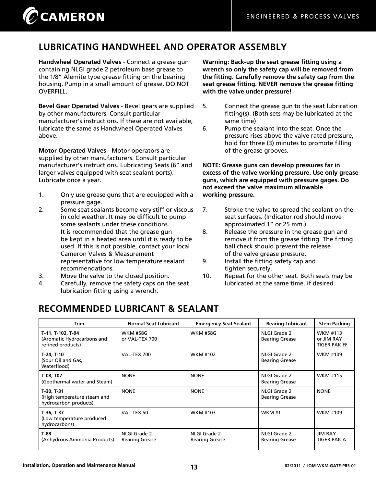

# **LUBRICATING HANDWHEEL AND OPERATOR ASSEMBLY**

**Handwheel Operated Valves** - Connect a grease gun containing NLGI grade 2 petroleum base grease to the 1/8" Alemite type grease fitting on the bearing housing. Pump in a small amount of grease. DO NOT OVERFILL.

**Bevel Gear Operated Valves** - Bevel gears are supplied by other manufacturers. Consult particular manufacturer's instructions. If these are not available, lubricate the same as Handwheel Operated Valves above.

**Motor Operated Valves** - Motor operators are supplied by other manufacturers. Consult particular manufacturer's instructions. Lubricating Seats (6" and larger valves equipped with seat sealant ports). Lubricate once a year.

- 1. Only use grease guns that are equipped with a pressure gage.
- 2. Some seat sealants become very stiff or viscous in cold weather. It may be difficult to pump some sealants under these conditions. It is recommended that the grease gun be kept in a heated area until it is ready to be used. If this is not possible, contact your local Cameron Valves & Measurement representative for low temperature sealant recommendations.
- 3. Move the valve to the closed position.
- 4. Carefully, remove the safety caps on the seat lubrication fitting using a wrench.

**Warning: Back-up the seat grease fitting using a wrench so only the safety cap will be removed from the fitting. Carefully remove the safety cap from the seat grease fitting. NEVER remove the grease fitting with the valve under pressure!**

- 5. Connect the grease gun to the seat lubrication fitting(s). (Both sets may be lubricated at the same time)
- 6. Pump the sealant into the seat. Once the pressure rises above the valve rated pressure, hold for three (3) minutes to promote filling of the grease grooves.

**NOTE: Grease guns can develop pressures far in excess of the valve working pressure. Use only grease guns, which are equipped with pressure gages. Do not exceed the valve maximum allowable working pressure.**

- 7. Stroke the valve to spread the sealant on the seat surfaces. (Indicator rod should move approximated 1" or 25 mm.)
- 8. Release the pressure in the grease gun and remove it from the grease fitting. The fitting ball check should prevent the release of the valve grease pressure.
- 9. Install the fitting safety cap and tighten securely.
- 10. Repeat for the other seat. Both seats may be lubricated at the same time, if desired.

| <b>Trim</b>                                                          | <b>Normal Seat Lubricant</b>          | <b>Emergency Seat Sealant</b>         | <b>Bearing Lubricant</b>              | <b>Stem Packing</b>                                  |
|----------------------------------------------------------------------|---------------------------------------|---------------------------------------|---------------------------------------|------------------------------------------------------|
| T-11, T-102, T-94<br>(Aromatic Hydrocarbons and<br>refined products) | <b>WKM #58G</b><br>or VAL-TEX 700     | <b>WKM #58G</b>                       | NLGI Grade 2<br><b>Bearing Grease</b> | <b>WKM #113</b><br>or JIM RAY<br><b>TIGER PAK FF</b> |
| T-24, T-10<br>(Sour Oil and Gas,<br>Waterflood)                      | VAL-TEX 700                           | <b>WKM #102</b>                       | NLGI Grade 2<br><b>Bearing Grease</b> | <b>WKM #109</b>                                      |
| T-08, T07<br>(Geothermal water and Steam)                            | <b>NONE</b>                           | <b>NONE</b>                           | NLGI Grade 2<br><b>Bearing Grease</b> | <b>WKM #115</b>                                      |
| T-30, T-31<br>(High temperature steam and<br>hydrocarbon products)   | <b>NONE</b>                           | <b>NONE</b>                           | NLGI Grade 2<br><b>Bearing Grease</b> | <b>NONE</b>                                          |
| T-36, T-37<br>(Low temperature produced<br>hydrocarbons)             | VAL-TEX 50                            | <b>WKM #103</b>                       | <b>WKM#1</b>                          | <b>WKM #109</b>                                      |
| $T-88$<br>(Anhydrous Ammonia Products)                               | NLGI Grade 2<br><b>Bearing Grease</b> | NLGI Grade 2<br><b>Bearing Grease</b> | NLGI Grade 2<br><b>Bearing Grease</b> | <b>JIM RAY</b><br>TIGER PAK A                        |

# **RECOMMENDED LUBRICANT & SEALANT**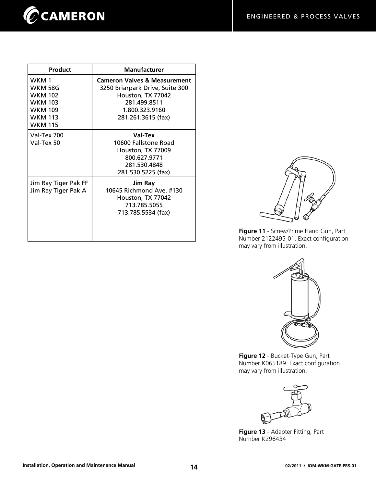

| Product                                                                                                          | <b>Manufacturer</b>                                                                                                                                     |
|------------------------------------------------------------------------------------------------------------------|---------------------------------------------------------------------------------------------------------------------------------------------------------|
| WKM1<br><b>WKM 58G</b><br><b>WKM 102</b><br><b>WKM 103</b><br><b>WKM 109</b><br><b>WKM 113</b><br><b>WKM 115</b> | <b>Cameron Valves &amp; Measurement</b><br>3250 Briarpark Drive, Suite 300<br>Houston, TX 77042<br>281 499 8511<br>1.800.323.9160<br>281.261.3615 (fax) |
| Val-Tex 700<br>Val-Tex 50                                                                                        | Val-Tex<br>10600 Fallstone Road<br>Houston, TX 77009<br>800.627.9771<br>281.530.4848<br>281.530.5225 (fax)                                              |
| Jim Ray Tiger Pak FF<br>Jim Ray Tiger Pak A                                                                      | <b>Jim Ray</b><br>10645 Richmond Ave. #130<br>Houston, TX 77042<br>713.785.5055<br>713.785.5534 (fax)                                                   |



**Figure 11** - Screw/Prime Hand Gun, Part Number 2122495-01. Exact configuration may vary from illustration.



**Figure 12** - Bucket-Type Gun, Part Number K065189. Exact configuration may vary from illustration.



**Figure 13** - Adapter Fitting, Part Number K296434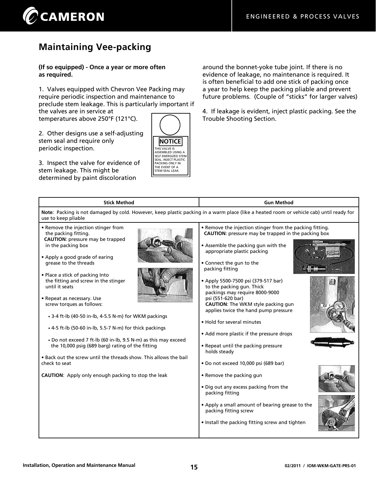

# **Maintaining Vee-packing**

**(If so equipped) - Once a year or more often as required.**

1. Valves equipped with Chevron Vee Packing may require periodic inspection and maintenance to preclude stem leakage. This is particularly important if

the valves are in service at temperatures above 250°F (121°C).

2. Other designs use a self-adjusting stem seal and require only periodic inspection.

3. Inspect the valve for evidence of stem leakage. This might be determined by paint discoloration



around the bonnet-yoke tube joint. If there is no evidence of leakage, no maintenance is required. It is often beneficial to add one stick of packing once a year to help keep the packing pliable and prevent future problems. (Couple of "sticks" for larger valves)

4. If leakage is evident, inject plastic packing. See the Trouble Shooting Section.

| <b>Stick Method</b>                                                                                                                                                                                                                                                                                                                                                                                                                                                                                                                                                                                                                                                             | <b>Gun Method</b>                                                                                                                                                                                                                                                                                                                                                                                                                                                                                                                                                                            |
|---------------------------------------------------------------------------------------------------------------------------------------------------------------------------------------------------------------------------------------------------------------------------------------------------------------------------------------------------------------------------------------------------------------------------------------------------------------------------------------------------------------------------------------------------------------------------------------------------------------------------------------------------------------------------------|----------------------------------------------------------------------------------------------------------------------------------------------------------------------------------------------------------------------------------------------------------------------------------------------------------------------------------------------------------------------------------------------------------------------------------------------------------------------------------------------------------------------------------------------------------------------------------------------|
| use to keep pliable                                                                                                                                                                                                                                                                                                                                                                                                                                                                                                                                                                                                                                                             | Note: Packing is not damaged by cold. However, keep plastic packing in a warm place (like a heated room or vehicle cab) until ready for                                                                                                                                                                                                                                                                                                                                                                                                                                                      |
| • Remove the injection stinger from<br>the packing fitting.<br><b>CAUTION:</b> pressure may be trapped<br>in the packing box<br>• Apply a good grade of earing<br>grease to the threads<br>• Place a stick of packing Into<br>the fitting and screw in the stinger<br>until it seats<br>• Repeat as necessary. Use<br>screw torques as follows:<br>• 3-4 ft-lb (40-50 in-lb, 4-5.5 N-m) for WKM packings<br>• 4-5 ft-lb (50-60 in-lb, 5.5-7 N-m) for thick packings<br>• Do not exceed 7 ft-lb (60 in-lb, 9.5 N-m) as this may exceed<br>the 10,000 psig (689 barg) rating of the fitting<br>• Back out the screw until the threads show. This allows the bail<br>check to seat | • Remove the injection stinger from the packing fitting.<br><b>CAUTION:</b> pressure may be trapped in the packing box<br>• Assemble the packing gun with the<br>appropriate plastic packing<br>• Connect the gun to the<br>packing fitting<br>• Apply 5500-7500 psi (379-517 bar)<br>to the packing gun. Thick<br>packings may require 8000-9000<br>psi (551-620 bar)<br><b>CAUTION:</b> The WKM style packing gun<br>applies twice the hand pump pressure<br>. Hold for several minutes<br>• Add more plastic if the pressure drops<br>• Repeat until the packing pressure<br>holds steady |
| <b>CAUTION:</b> Apply only enough packing to stop the leak                                                                                                                                                                                                                                                                                                                                                                                                                                                                                                                                                                                                                      | • Do not exceed 10,000 psi (689 bar)<br>• Remove the packing gun<br>• Dig out any excess packing from the<br>packing fitting<br>• Apply a small amount of bearing grease to the<br>packing fitting screw<br>• Install the packing fitting screw and tighten                                                                                                                                                                                                                                                                                                                                  |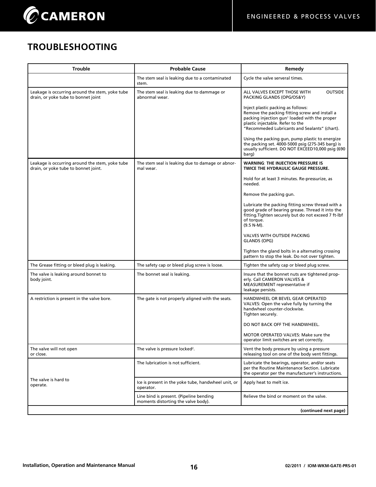

# **TROUBLESHOOTING**

| <b>Trouble</b>                                                                          | <b>Probable Cause</b>                                                          | Remedy                                                                                                                                                                                                                                 |
|-----------------------------------------------------------------------------------------|--------------------------------------------------------------------------------|----------------------------------------------------------------------------------------------------------------------------------------------------------------------------------------------------------------------------------------|
|                                                                                         | The stem seal is leaking due to a contaminated<br>stem.                        | Cycle the valve serveral times.                                                                                                                                                                                                        |
| Leakage is occurring around the stem, yoke tube<br>drain, or yoke tube to bonnet joint  | The stem seal is leaking due to dammage or<br>abnormal wear.                   | <b>OUTSIDE</b><br>ALL VALVES EXCEPT THOSE WITH<br>PACKING GLANDS (OPG/OS&Y)                                                                                                                                                            |
|                                                                                         |                                                                                | Inject plastic packing as follows:<br>Remove the packing fitting screw and install a<br>packing injection gun <sup>1</sup> loaded with the proper<br>plastic injectable. Refer to the<br>"Recommeded Lubricants and Sealants" (chart). |
|                                                                                         |                                                                                | Using the packing gun, pump plastic to energize<br>the packing set. 4000-5000 psig (275-345 barg) is<br>usually sufficient. DO NOT EXCEED10,000 psig (690<br>barg)                                                                     |
| Leakage is occurring around the stem, yoke tube<br>drain, or yoke tube to bonnet joint. | The stem seal is leaking due to damage or abnor-<br>mal wear.                  | <b>WARNING: THE INJECTION PRESSURE IS</b><br>TWICE THE HYDRAULIC GAUGE PRESSURE.                                                                                                                                                       |
|                                                                                         |                                                                                | Hold for at least 3 minutes. Re-pressurize, as<br>needed.                                                                                                                                                                              |
|                                                                                         |                                                                                | Remove the packing gun.                                                                                                                                                                                                                |
|                                                                                         |                                                                                | Lubricate the packing fitting screw thread with a<br>good grade of bearing grease. Thread it into the<br>fitting. Tighten securely but do not exceed 7 ft-lbf<br>of torque.<br>$(9.5 N-M).$                                            |
|                                                                                         |                                                                                | <b>VALVES WITH OUTSIDE PACKING</b><br>GLANDS (OPG)                                                                                                                                                                                     |
|                                                                                         |                                                                                | Tighten the gland bolts in a alternating crossing<br>pattern to stop the leak. Do not over tighten.                                                                                                                                    |
| The Grease fitting or bleed plug is leaking.                                            | The safety cap or bleed plug screw is loose.                                   | Tighten the safety cap or bleed plug screw.                                                                                                                                                                                            |
| The valve is leaking around bonnet to<br>body joint.                                    | The bonnet seal is leaking.                                                    | Insure that the bonnet nuts are tightened prop-<br>erly. Call CAMERON VALVES &<br>MEASUREMENT representative if<br>leakage persists.                                                                                                   |
| A restriction is present in the valve bore.                                             | The gate is not properly aligned with the seats.                               | HANDWHEEL OR BEVEL GEAR OPERATED<br>VALVES: Open the valve fully by turning the<br>handwheel counter-clockwise.<br>Tighten securely.                                                                                                   |
|                                                                                         |                                                                                | DO NOT BACK OFF THE HANDWHEEL.                                                                                                                                                                                                         |
|                                                                                         |                                                                                | <b>MOTOR OPERATED VALVES: Make sure the</b><br>operator limit switches are set correctly.                                                                                                                                              |
| The valve will not open<br>or close.                                                    | The valve is pressure locked <sup>2</sup> .                                    | Vent the body pressure by using a pressure<br>releasing tool on one of the body vent fittings.                                                                                                                                         |
|                                                                                         | The lubrication is not sufficient.                                             | Lubricate the bearings, operator, and/or seats<br>per the Routine Maintenance Section. Lubricate<br>the operator per the manufacturer's instructions.                                                                                  |
| The valve is hard to<br>operate.                                                        | Ice is present in the yoke tube, handwheel unit, or<br>operator.               | Apply heat to melt ice.                                                                                                                                                                                                                |
|                                                                                         | Line bind is present. (Pipeline bending<br>moments distorting the valve body). | Relieve the bind or moment on the valve.                                                                                                                                                                                               |
|                                                                                         |                                                                                | (continued next page)                                                                                                                                                                                                                  |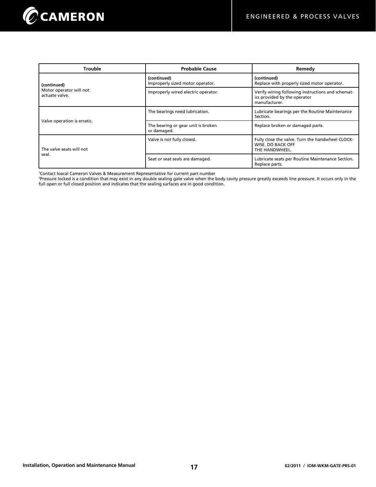

| <b>Trouble</b>                            | <b>Probable Cause</b>                             | Remedy                                                                                             |
|-------------------------------------------|---------------------------------------------------|----------------------------------------------------------------------------------------------------|
| (continued)                               | (continued)<br>Improperly sized motor operator.   | (continued)<br>Replace with properly sized motor operator.                                         |
| Motor operator will not<br>actuate valve. | Improperly wired electric operator.               | Verify wiring following instructions and schemat-<br>ics provided by the operator<br>manufacturer. |
|                                           | The bearings need lubrication.                    | Lubricate bearings per the Routine Maintenance<br>Section.                                         |
| Valve operation is erratic.               | The bearing or gear unit is broken<br>or damaged. | Replace broken or damaged parts.                                                                   |
| The valve seats will not                  | Valve is not fully closed.                        | Fully close the valve. Turn the handwheel CLOCK-<br>WISE, DO BACK OFF<br>THE HANDWHEEL.            |
| seal.                                     | Seat or seat seals are damaged.                   | Lubricate seats per Routine Maintenance Section.<br>Replace parts.                                 |

1 Contact loacal Cameron Valves & Measurement Representative for current part number

2 Pressure locked is a condition that may exist in any double sealing gate valve when the body cavity pressure greatly exceeds line pressure. It occurs only in the full open or full closed position and indicates that the sealing surfaces are in good condition.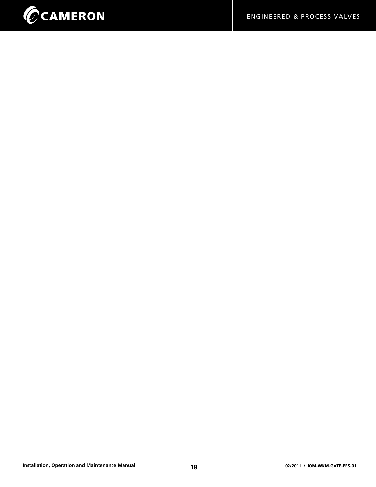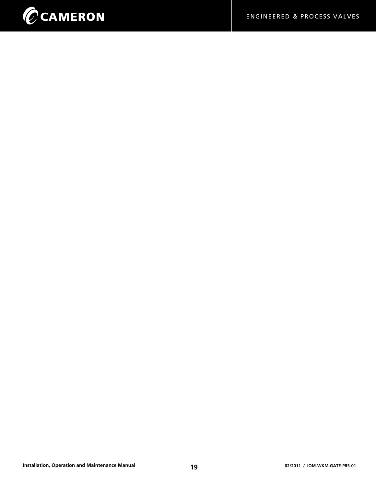